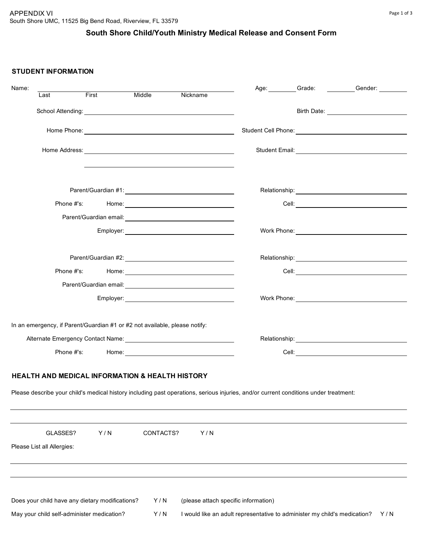# **South Shore Child/Youth Ministry Medical Release and Consent Form**

#### **STUDENT INFORMATION**

| Name:                                                                                                                                |       |           |          |                                      |                                                                           | Age: Grade: Grade: Gender: |
|--------------------------------------------------------------------------------------------------------------------------------------|-------|-----------|----------|--------------------------------------|---------------------------------------------------------------------------|----------------------------|
| Last                                                                                                                                 | First | Middle    | Nickname |                                      |                                                                           |                            |
|                                                                                                                                      |       |           |          |                                      |                                                                           |                            |
|                                                                                                                                      |       |           |          |                                      |                                                                           |                            |
|                                                                                                                                      |       |           |          |                                      |                                                                           |                            |
|                                                                                                                                      |       |           |          |                                      |                                                                           |                            |
|                                                                                                                                      |       |           |          |                                      |                                                                           |                            |
|                                                                                                                                      |       |           |          |                                      |                                                                           |                            |
|                                                                                                                                      |       |           |          |                                      |                                                                           |                            |
|                                                                                                                                      |       |           |          |                                      |                                                                           |                            |
|                                                                                                                                      |       |           |          |                                      |                                                                           |                            |
| Phone #'s:                                                                                                                           |       |           |          |                                      |                                                                           |                            |
|                                                                                                                                      |       |           |          |                                      |                                                                           |                            |
|                                                                                                                                      |       |           |          |                                      |                                                                           |                            |
| In an emergency, if Parent/Guardian #1 or #2 not available, please notify:                                                           |       |           |          |                                      |                                                                           |                            |
|                                                                                                                                      |       |           |          |                                      |                                                                           |                            |
|                                                                                                                                      |       |           |          |                                      |                                                                           |                            |
|                                                                                                                                      |       |           |          |                                      |                                                                           |                            |
| <b>HEALTH AND MEDICAL INFORMATION &amp; HEALTH HISTORY</b>                                                                           |       |           |          |                                      |                                                                           |                            |
| Please describe your child's medical history including past operations, serious injuries, and/or current conditions under treatment: |       |           |          |                                      |                                                                           |                            |
|                                                                                                                                      |       |           |          |                                      |                                                                           |                            |
| GLASSES?                                                                                                                             | Y/N   | CONTACTS? |          | Y/N                                  |                                                                           |                            |
| Please List all Allergies:                                                                                                           |       |           |          |                                      |                                                                           |                            |
|                                                                                                                                      |       |           |          |                                      |                                                                           |                            |
| Does your child have any dietary modifications?                                                                                      |       | Y/N       |          | (please attach specific information) |                                                                           |                            |
|                                                                                                                                      |       |           |          |                                      |                                                                           |                            |
| May your child self-administer medication?                                                                                           |       | Y/N       |          |                                      | I would like an adult representative to administer my child's medication? | Y/N                        |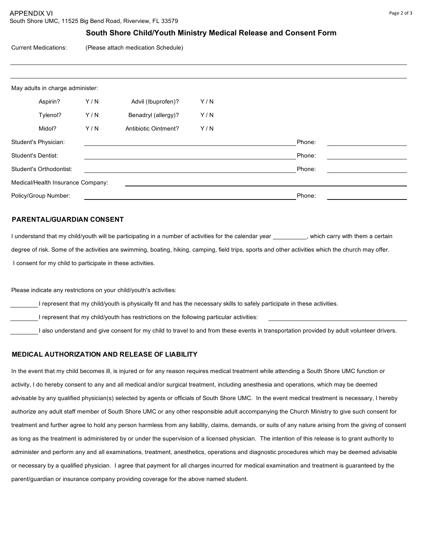### **South Shore Child/Youth Ministry Medical Release and Consent Form**

Current Medications: (Please attach medication Schedule)

|                      | May adults in charge administer:  |     |                      |     |        |  |
|----------------------|-----------------------------------|-----|----------------------|-----|--------|--|
|                      | Aspirin?                          | Y/N | Advil (Ibuprofen)?   | Y/N |        |  |
|                      | Tylenol?                          | Y/N | Benadryl (allergy)?  | Y/N |        |  |
|                      | Midol?                            | Y/N | Antibiotic Ointment? | Y/N |        |  |
|                      | Student's Physician:              |     |                      |     | Phone: |  |
|                      | <b>Student's Dentist:</b>         |     |                      |     | Phone: |  |
|                      | Student's Orthodontist:           |     |                      |     | Phone: |  |
|                      | Medical/Health Insurance Company: |     |                      |     |        |  |
| Policy/Group Number: |                                   |     |                      |     | Phone: |  |

#### **PARENTAL/GUARDIAN CONSENT**

I understand that my child/youth will be participating in a number of activities for the calendar year execution with them a certain degree of risk. Some of the activities are swimming, boating, hiking, camping, field trips, sports and other activities which the church may offer. I consent for my child to participate in these activities.

Please indicate any restrictions on your child/youth's activities:

I represent that my child/youth is physically fit and has the necessary skills to safely participate in these activities.

I represent that my child/youth has restrictions on the following particular activities:

I also understand and give consent for my child to travel to and from these events in transportation provided by adult volunteer drivers.

#### **MEDICAL AUTHORIZATION AND RELEASE OF LIABILITY**

In the event that my child becomes ill, is injured or for any reason requires medical treatment while attending a South Shore UMC function or activity, I do hereby consent to any and all medical and/or surgical treatment, including anesthesia and operations, which may be deemed advisable by any qualified physician(s) selected by agents or officials of South Shore UMC. In the event medical treatment is necessary, I hereby authorize any adult staff member of South Shore UMC or any other responsible adult accompanying the Church Ministry to give such consent for treatment and further agree to hold any person harmless from any liability, claims, demands, or suits of any nature arising from the giving of consent as long as the treatment is administered by or under the supervision of a licensed physician. The intention of this release is to grant authority to administer and perform any and all examinations, treatment, anesthetics, operations and diagnostic procedures which may be deemed advisable or necessary by a qualified physician. I agree that payment for all charges incurred for medical examination and treatment is guaranteed by the parent/guardian or insurance company providing coverage for the above named student.